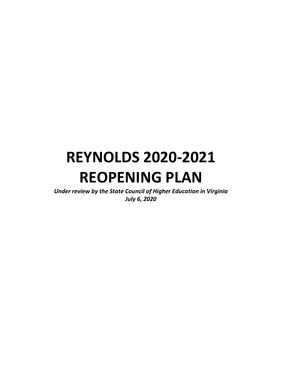# **REYNOLDS 2020-2021 REOPENING PLAN**

*Under review by the State Council of Higher Education in Virginia July 6, 2020*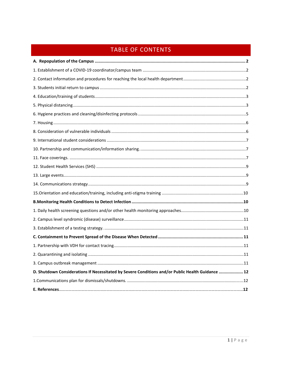# TABLE OF CONTENTS

| D. Shutdown Considerations If Necessitated by Severe Conditions and/or Public Health Guidance  12 |  |
|---------------------------------------------------------------------------------------------------|--|
|                                                                                                   |  |
|                                                                                                   |  |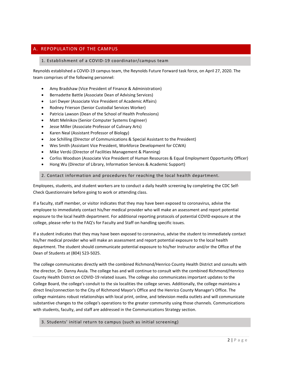# <span id="page-2-1"></span><span id="page-2-0"></span>A. REPOPULATION OF THE CAMPUS

#### 1. Establishment of a COVID-19 coordinator/campus team

Reynolds established a COVID-19 campus team, the Reynolds Future Forward task force, on April 27, 2020. The team comprises of the following personnel:

- Amy Bradshaw (Vice President of Finance & Administration)
- Bernadette Battle (Associate Dean of Advising Services)
- Lori Dwyer (Associate Vice President of Academic Affairs)
- Rodney Frierson (Senior Custodial Services Worker)
- Patricia Lawson (Dean of the School of Health Professions)
- Matt Melnikov (Senior Computer Systems Engineer)
- Jesse Miller (Associate Professor of Culinary Arts)
- Karen Neal (Assistant Professor of Biology)
- Joe Schilling (Director of Communications & Special Assistant to the President)
- Wes Smith (Assistant Vice President, Workforce Development for CCWA)
- Mike Verdú (Director of Facilities Management & Planning)
- Corliss Woodson (Associate Vice President of Human Resources & Equal Employment Opportunity Officer)
- Hong Wu (Director of Library, Information Services & Academic Support)

#### <span id="page-2-2"></span>2. Contact information and procedures for reaching the local health department.

Employees, students, and student workers are to conduct a daily health screening by completing th[e CDC Self-](https://www.cdc.gov/coronavirus/2019-ncov/symptoms-testing/symptoms.html)Check [Questionnaire](https://www.cdc.gov/coronavirus/2019-ncov/symptoms-testing/symptoms.html) before going to work or attending class.

If a faculty, staff member, or visitor indicates that they may have been exposed to coronavirus, advise the employee to immediately contact his/her medical provider who will make an assessment and report potential exposure to the local health department. For additional reporting protocols of potential COVID exposure at the college, please refer to the [FAQ's for Faculty and Staff](https://intranet.reynolds.edu/human-resources/FAQ4_6_20.pdf) on handling specific issues.

If a student indicates that they may have been exposed to coronavirus, advise the student to immediately contact his/her medical provider who will make an assessment and report potential exposure to the local health department. The student should communicate potential exposure to his/her Instructor and/or the Office of the Dean of Students at (804) 523-5025.

The college communicates directly with the combined Richmond/Henrico County Health District and consults with the director, Dr. Danny Avula. The college has and will continue to consult with the combined Richmond/Henrico County Health District on COVID-19 related issues. The college also communicates important updates to the College Board, the college's conduit to the six localities the college serves. Additionally, the college maintains a direct line/connection to the City of Richmond Mayor's Office and the Henrico County Manager's Office. The college maintains robust relationships with local print, online, and television media outlets and will communicate substantive changes to the college's operations to the greater community using those channels. Communications with students, faculty, and staff are addressed in the Communications Strategy section.

<span id="page-2-3"></span>3. Students' initial return to campus (such as initial screening)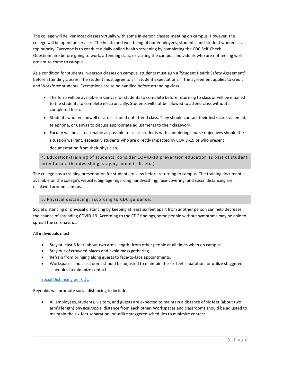The college will deliver most classes virtually with some in-person classes meeting on campus. However, the college will be open for services. The health and well-being of our employees, students, and student workers is a top priority. Everyone is to conduct a daily online health screening by completing the [CDC Self-Check](https://www.cdc.gov/coronavirus/2019-ncov/symptoms-testing/symptoms.html)  [Questionnaire](https://www.cdc.gov/coronavirus/2019-ncov/symptoms-testing/symptoms.html) before going to work, attending class, or visiting the campus. Individuals who are not feeling well are not to come to campus

As a condition for students in-person classes on campus, students must sign a "Student Health Safety Agreement" before attending classes. The student must agree to all "Student Expectations." The agreement applies to credit and Workforce students. Exemptions are to be handled before attending class.

- The form will be available in Canvas for students to complete before returning to class or will be emailed to the students to complete electronically. Students will not be allowed to attend class without a completed form.
- Students who feel unwell or are ill should not attend class. They should contact their Instructor via email, telephone, or Canvas to discuss appropriate adjustments to their classwork.
- Faculty will be as reasonable as possible to assist students with completing course objectives should the situation warrant, especially students who are directly impacted by COVID-19 or who present documentation from their physician.

<span id="page-3-0"></span>4. Education/training of students: consider COVID-19 prevention education as part of student orientation. (handwashing, staying home if ill, etc.)

The college has a training presentation for students to view before returning to campus. The training document is available on the college's website. Signage regarding handwashing, face-covering, and social distancing are displayed around campus.

# 5. Physical distancing, according to CDC guidance:

Social distancing or physical distancing by keeping at least six feet apart from another person can help decrease the chance of spreading COVID-19. According to the CDC findings, some people without symptoms may be able to spread the coronavirus.

All individuals must:

- Stay at least 6 feet (about two arms length) from other people at all times when on campus.
- Stay out of crowded places and avoid mass gathering.
- Refrain from bringing along guests to face-to-face appointments.
- Workspaces and classrooms should be adjusted to maintain the six-feet separation, or utilize staggered schedules to minimize contact.

# [Social Distancing per CDC](https://www.cdc.gov/coronavirus/2019-ncov/prevent-getting-sick/social-distancing.html)

Reynolds will promote social distancing to include:

• All employees, students, visitors, and guests are expected to maintain a distance of six feet (about two arm's length) physical/social distance from each other. Workspaces and classrooms should be adjusted to maintain the six-feet separation, or utilize staggered schedules to minimize contact.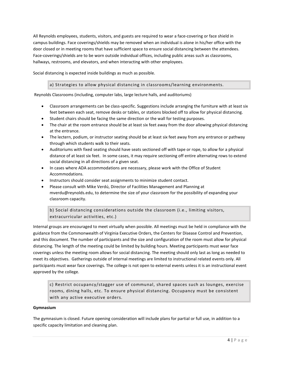All Reynolds employees, students, visitors, and guests are required to wear a face-covering or face shield in campus buildings. Face coverings/shields may be removed when an individual is alone in his/her office with the door closed or in meeting rooms that have sufficient space to ensure social distancing between the attendees. Face-coverings/shields are to be worn outside individual offices, including public areas such as classrooms, hallways, restrooms, and elevators, and when interacting with other employees.

Social distancing is expected inside buildings as much as possible.

#### a) Strategies to allow physical distancing in classrooms/learning environments.

Reynolds Classrooms (including, computer labs, large lecture halls, and auditoriums)

- Classroom arrangements can be class-specific. Suggestions include arranging the furniture with at least six feet between each seat, remove desks or tables, or stations blocked off to allow for physical distancing.
- Student chairs should be facing the same direction or the wall for testing purposes.
- The chair at the room entrance should be at least six feet away from the door allowing physical distancing at the entrance.
- The lectern, podium, or instructor seating should be at least six feet away from any entrance or pathway through which students walk to their seats.
- Auditoriums with fixed seating should have seats sectioned off with tape or rope, to allow for a physical distance of at least six feet. In some cases, it may require sectioning off entire alternating rows to extend social distancing in all directions of a given seat.
- In cases where ADA accommodations are necessary, please work with the Office of Student Accommodations.
- Instructors should consider seat assignments to minimize student contact.
- Please consult with Mike Verdú, Director of Facilities Management and Planning at [mverdu@reynolds.edu,](mailto:mverdu@reynolds.edu) to determine the size of your classroom for the possibility of expanding your classroom capacity.

b) Social distancing considerations outside the classroom (i.e., limiting visitors, extracurricular activities, etc.)

Internal groups are encouraged to meet virtually when possible. All meetings must be held in compliance with the guidance from the [Commonwealth of Virginia Executive Orders,](https://www.governor.virginia.gov/executive-actions/) the [Centers for Disease Control and Prevention,](https://www.cdc.gov/coronavirus/2019-ncov/community/large-events/index.html)  and this document. The number of participants and the size and configuration of the room must allow for physical distancing. The length of the meeting could be limited by building hours. Meeting participants must wear face coverings unless the meeting room allows for social distancing. The meeting should only last as long as needed to meet its objectives. Gatherings outside of internal meetings are limited to instructional related events only. All participants must wear face coverings. The college is not open to external events unless it is an instructional event approved by the college.

c) Restrict occupancy/stagger use of communal, shared spaces such as lounges, exercise rooms, dining halls, etc. To ensure physical distancing. Occupancy must be consistent with any active executive orders.

#### **Gymnasium**

The gymnasium is closed. Future opening consideration will include plans for partial or full use, in addition to a specific capacity limitation and cleaning plan.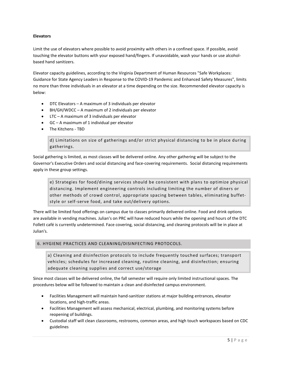# **Elevators**

Limit the use of elevators where possible to avoid proximity with others in a confined space. If possible, avoid touching the elevator buttons with your exposed hand/fingers. If unavoidable, wash your hands or use alcoholbased hand sanitizers.

Elevator capacity guidelines, according to the Virginia Department of Human Resources "Safe Workplaces: Guidance for State Agency Leaders in Response to the COVID-19 Pandemic and Enhanced Safety Measures", limits no more than three individuals in an elevator at a time depending on the size. Recommended elevator capacity is below:

- DTC Elevators A maximum of 3 individuals per elevator
- BH/GH/WDCC A maximum of 2 individuals per elevator
- LTC A maximum of 3 individuals per elevator
- GC A maximum of 1 individual per elevator
- The Kitchens TBD

d) Limitations on size of gatherings and/or strict physical distancing to be in place during gatherings.

Social gathering is limited, as most classes will be delivered online. Any other gathering will be subject to the Governor's Executive Orders and social distancing and face-covering requirements. Social distancing requirements apply in these group settings.

e) Strategies for food/dining services should be consistent with plans to optimize physical distancing. Implement engineering controls including limiting the number of diners or other methods of crowd control, appropriate spacing between tables, eliminating buffetstyle or self-serve food, and take out/delivery options.

There will be limited food offerings on campus due to classes primarily delivered online. Food and drink options are available in vending machines. Julian's on PRC will have reduced hours while the opening and hours of the DTC Follett café is currently undetermined. Face covering, social distancing, and cleaning protocols will be in place at Julian's.

# <span id="page-5-0"></span>6. HYGIENE PRACTICES AND CLEANING/DISINFECTING PROTOCOLS.

a) Cleaning and disinfection protocols to include frequently touched surfaces; transport vehicles; schedules for increased cleaning, routine cleaning, and disinfection; ensuring adequate cleaning supplies and correct use/storage

Since most classes will be delivered online, the fall semester will require only limited instructional spaces. The procedures below will be followed to maintain a clean and disinfected campus environment.

- Facilities Management will maintain hand-sanitizer stations at major building entrances, elevator locations, and high-traffic areas.
- Facilities Management will assess mechanical, electrical, plumbing, and monitoring systems before reopening of buildings.
- Custodial staff will clean classrooms, restrooms, common areas, and high touch workspaces based on CDC guidelines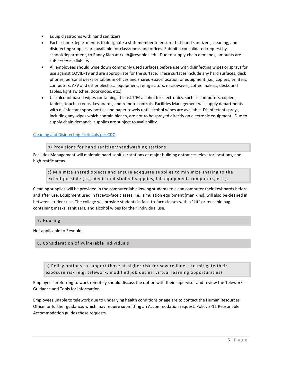- Equip classrooms with hand sanitizers.
- Each school/department is to designate a staff member to ensure that hand sanitizers, cleaning, and disinfecting supplies are available for classrooms and offices. Submit a consolidated request by school/department, to Randy Kiah at [rkiah@reynolds.edu.](mailto:rkiah@reynolds.edu) Due to supply-chain demands, amounts are subject to availability.
- All employees should wipe down commonly used surfaces before use with disinfecting wipes or sprays for use against COVID-19 and are appropriate for the surface. These surfaces include any hard surfaces, desk phones, personal desks or tables in offices and shared-space location or equipment (i.e., copiers, printers, computers, A/V and other electrical equipment, refrigerators, microwaves, coffee makers, desks and tables, light switches, doorknobs, etc.).
- Use alcohol-based wipes containing at least 70% alcohol for electronics, such as computers, copiers, tablets, touch screens, keyboards, and remote controls. Facilities Management will supply departments with disinfectant spray bottles and paper towels until alcohol wipes are available. Disinfectant sprays, including any wipes which contain bleach, are not to be sprayed directly on electronic equipment. Due to supply-chain demands, supplies are subject to availability.

# [Cleaning and Disinfecting Protocols per CDC](https://www.cdc.gov/coronavirus/2019-ncov/community/disinfecting-building-facility.html)

b) Provisions for hand sanitizer/handwashing stations

Facilities Management will maintain hand-sanitizer stations at major building entrances, elevator locations, and high-traffic areas.

c) Minimize shared objects and ensure adequate supplies to minimize sharing to the extent possible (e.g. dedicated student supplies, lab equipment, computers, etc.).

Cleaning supplies will be provided in the computer lab allowing students to clean computer their keyboards before and after use. Equipment used in face-to-face classes, i.e., simulation equipment (manikins), will also be cleaned in between student use. The college will provide students in face-to-face classes with a "kit" or reusable bag containing masks, sanitizers, and alcohol wipes for their individual use.

# <span id="page-6-0"></span>7. Housing:

Not applicable to Reynolds

# <span id="page-6-1"></span>8. Consideration of vulnerable individuals

a) Policy options to support those at higher risk for severe illness to mitigate their exposure risk (e.g. telework, modified job duties, virtual learning opportunities).

Employees preferring to work remotely should discuss the option with their supervisor and review the [Telework](https://intranet.reynolds.edu/human-resources/Default.aspx)  [Guidance and Tools](https://intranet.reynolds.edu/human-resources/Default.aspx) for information.

Employees unable to telework due to underlying health conditions or age are to contact the Human Resources Office for further guidance, which may require submitting an Accommodation request[. Policy 3-11 Reasonable](http://www.reynolds.edu/policy/human_resources/Policy311ReasonableAccommodation.pdf)  [Accommodation](http://www.reynolds.edu/policy/human_resources/Policy311ReasonableAccommodation.pdf) guides these requests.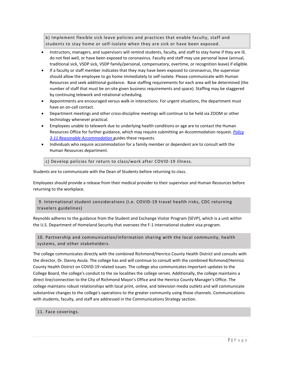b) Implement flexible sick leave policies and practices that enable faculty, staff and students to stay home or self-isolate when they are sick or have been exposed.

- Instructors, managers, and supervisors will remind students, faculty, and staff to stay home if they are ill, do not feel well, or have been exposed to coronavirus. Faculty and staff may use personal leave (annual, traditional sick, VSDP sick, VSDP family/personal, compensatory, overtime, or recognition leave) if eligible.
- If a faculty or staff member indicates that they may have been exposed to coronavirus, the supervisor should allow the employee to go home immediately to self-isolate. Please communicate with Human Resources and seek additional guidance. Base staffing requirements for each area will be determined (the number of staff that must be on-site given business requirements and space). Staffing may be staggered by continuing telework and rotational scheduling.
- Appointments are encouraged versus walk-in interactions. For urgent situations, the department must have an on-call contact.
- Department meetings and other cross-discipline meetings will continue to be held via ZOOM or other technology whenever practical.
- Employees unable to telework due to underlying health conditions or age are to contact the Human Resources Office for further guidance, which may require submitting an Accommodation request. *[Policy](https://www.reynolds.edu/policy/human_resources/3-11.pdf)  [3-11 Reasonable Accommodation](https://www.reynolds.edu/policy/human_resources/3-11.pdf)* guides these requests.
- Individuals who require accommodation for a family member or dependent are to consult with the Human Resources department.

c) Develop policies for return to class/work after COVID-19 illness.

Students are to communicate with the Dean of Students before returning to class.

Employees should provide a release from their medical provider to their supervisor and Human Resources before returning to the workplace.

# <span id="page-7-0"></span>9. International student considerations (i.e. COVID-19 travel health risks, CDC returning travelers guidelines)

Reynolds adheres to the guidance from the Student and Exchange Visitor Program (SEVP), which is a unit within the U.S. Department of Homeland Security that oversees the F-1 international student visa program.

# <span id="page-7-1"></span>10. Partnership and communication/information sharing with the local community, health systems, and other stakeholders.

The college communicates directly with the combined Richmond/Henrico County Health District and consults with the director, Dr. Danny Avula. The college has and will continue to consult with the combined Richmond/Henrico County Health District on COVID-19 related issues. The college also communicates important updates to the College Board, the college's conduit to the six localities the college serves. Additionally, the college maintains a direct line/connection to the City of Richmond Mayor's Office and the Henrico County Manager's Office. The college maintains robust relationships with local print, online, and television media outlets and will communicate substantive changes to the college's operations to the greater community using those channels. Communications with students, faculty, and staff are addressed in the Communications Strategy section.

# <span id="page-7-2"></span>11. Face coverings.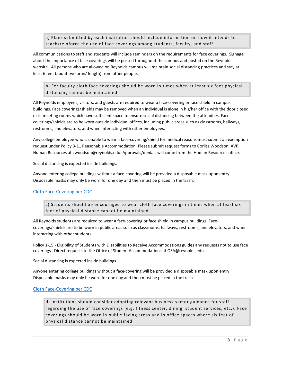a) Plans submitted by each institution should include information on how it intends to teach/reinforce the use of face coverings among students, faculty, and staff.

All communications to staff and students will include reminders on the requirements for face coverings. Signage about the importance of face coverings will be posted throughout the campus and posted on the Reynolds website. All persons who are allowed on Reynolds campus will maintain social distancing practices and stay at least 6 feet (about two arms' length) from other people.

b) For faculty cloth face coverings should be worn in times when at least six feet physical distancing cannot be maintained.

All Reynolds employees, visitors, and guests are required to wear a face-covering or face shield in campus buildings. Face coverings/shields may be removed when an individual is alone in his/her office with the door closed or in meeting rooms which have sufficient space to ensure social distancing between the attendees. Facecoverings/shields are to be worn outside individual offices, including public areas such as classrooms, hallways, restrooms, and elevators, and when interacting with other employees.

Any college employee who is unable to wear a face-covering/shield for medical reasons must submit an exemption request under [Policy 3-11 Reasonable Accommodation. P](http://www.reynolds.edu/policy/human_resources/Policy311ReasonableAccommodation.pdf)lease submit request forms to Corliss Woodson, AVP, Human Resources at [cwoodson@reynolds.edu.](mailto:cwoodson@reynolds.edu) Approvals/denials will come from the Human Resources office.

Social distancing is expected inside buildings.

Anyone entering college buildings without a face-covering will be provided a disposable mask upon entry. Disposable masks may only be worn for one day and then must be placed in the trash.

# [Cloth Face-Covering per CDC](https://www.cdc.gov/coronavirus/2019-ncov/prevent-getting-sick/about-face-coverings.html)

c) Students should be encouraged to wear cloth face coverings in times when at least six feet of physical distance cannot be maintained.

All Reynolds students are required to wear a face-covering or face shield in campus buildings. Facecoverings/shields are to be worn in public areas such as classrooms, hallways, restrooms, and elevators, and when interacting with other students.

Policy 1-15 - [Eligibility of Students with Disabilities to Receive Accommodations](https://www.reynolds.edu/policy/student-policy/1-15-eligibility-students-with-disabilities.aspx) guides any requests not to use face coverings. Direct requests to th[e Office](mailto:Office) of Student Accommodations a[t OSA@reynolds.edu.](mailto:OSA@reynolds.edu)

Social distancing is expected inside buildings

Anyone entering college buildings without a face-covering will be provided a disposable mask upon entry. Disposable masks may only be worn for one day and then must be placed in the trash.

# [Cloth Face-Covering per CDC](https://www.cdc.gov/coronavirus/2019-ncov/prevent-getting-sick/about-face-coverings.html)

d) Institutions should consider adopting relevant business-sector guidance for staff regarding the use of face coverings (e.g. fitness center, dining, student services, etc.). Face coverings should be worn in public-facing areas and in office spaces where six feet of physical distance cannot be maintained.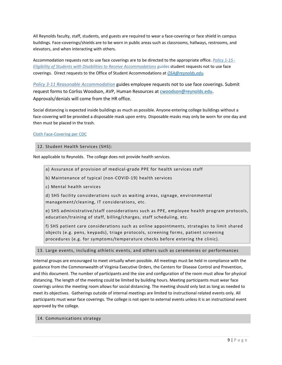All Reynolds faculty, staff, students, and guests are required to wear a face-covering or face shield in campus buildings. Face-coverings/shields are to be worn in public areas such as classrooms, hallways, restrooms, and elevators, and when interacting with others.

Accommodation requests not to use face coverings are to be directed to the appropriate office. *[Policy 1-15 -](https://www.reynolds.edu/policy/student-policy/1-15-eligibility-students-with-disabilities.aspx) [Eligibility of Students with Disabilities to Receive Accommodations](https://www.reynolds.edu/policy/student-policy/1-15-eligibility-students-with-disabilities.aspx)* guides student requests not to use face coverings. Direct requests to th[e Office](mailto:Office) of Student Accommodations at *[OSA@reynolds.edu](mailto:OSA@reynolds.edu)*.

*[Policy 3-11 Reasonable Accommodation](https://www.reynolds.edu/policy/human_resources/3-11.pdf)* guides employee requests not to use face coverings. Submit request forms to Corliss Woodson, AVP, Human Resources at [cwoodson@reynolds.edu.](mailto:cwoodson@reynolds.edu) Approvals/denials will come from the HR office.

Social distancing is expected inside buildings as much as possible. Anyone entering college buildings without a face-covering will be provided a disposable mask upon entry. Disposable masks may only be worn for one day and then must be placed in the trash.

# [Cloth Face-Covering per CDC](https://www.cdc.gov/coronavirus/2019-ncov/prevent-getting-sick/about-face-coverings.html)

# <span id="page-9-0"></span>12. Student Health Services (SHS):

Not applicable to Reynolds. The college does not provide health services.

a) Assurance of provision of medical-grade PPE for health services staff

b) Maintenance of typical (non-COVID-19) health services

c) Mental health services

d) SHS facility considerations such as waiting areas, signage, environmental management/cleaning, IT considerations, etc.

e) SHS administrative/staff considerations such as PPE, employee health program protocols, education/training of staff, billing/charges, staff scheduling, etc.

f) SHS patient care considerations such as online appointments, strategies to limit shared objects (e.g. pens, keypads), triage protocols, screening forms, patient screening procedures (e.g. for symptoms/temperature checks before entering the clinic).

# <span id="page-9-1"></span>13. Large events, including athletic events, and others such as ceremonies or performances

<span id="page-9-2"></span>Internal groups are encouraged to meet virtually when possible. All meetings must be held in compliance with the guidance from the [Commonwealth of Virginia Executive Orders,](https://www.governor.virginia.gov/executive-actions/) the [Centers for Disease Control and Prevention,](https://www.cdc.gov/coronavirus/2019-ncov/community/large-events/index.html)  and this document. The number of participants and the size and configuration of the room must allow for physical distancing. The length of the meeting could be limited by building hours. Meeting participants must wear face coverings unless the meeting room allows for social distancing. The meeting should only last as long as needed to meet its objectives. Gatherings outside of internal meetings are limited to instructional related events only. All participants must wear face coverings. The college is not open to external events unless it is an instructional event approved by the college.

# 14. Communications strategy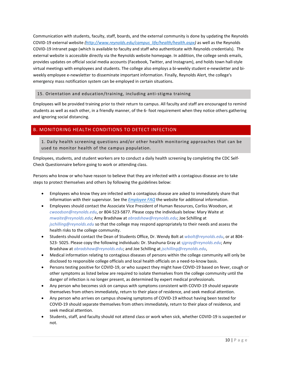Communication with students, faculty, staff, boards, and the external community is done by updating the Reynolds COVID-19 external website *[\(http://www.reynolds.edu/campus\\_life/health/health.aspx\)](http://www.reynolds.edu/campus_life/health/health.aspx)* as well as the Reynolds COVID-19 intranet page (which is available to faculty and staff who authenticate with Reynolds credentials). The external website is accessible directly via the Reynolds website homepage. In addition, the college sends emails, provides updates on official social media accounts (Facebook, Twitter, and Instagram), and holds town hall-style virtual meetings with employees and students. The college also employs a bi-weekly student e-newsletter and biweekly employee e-newsletter to disseminate important information. Finally, Reynolds Alert, the college's emergency mass notification system can be employed in certain situations.

# <span id="page-10-0"></span>15. Orientation and education/training, including anti-stigma training

Employees will be provided training prior to their return to campus. All faculty and staff are encouraged to remind students as well as each other, in a friendly manner, of the 6- foot requirement when they notice others gathering and ignoring social distancing.

# <span id="page-10-2"></span><span id="page-10-1"></span>B. MONITORING HEALTH CONDITIONS TO DETECT INFECTION

1. Daily health screening questions and/or other health monitoring approaches that can be used to monitor health of the campus population.

Employees, students, and student workers are to conduct a daily health screening by completing th[e CDC Self-](https://www.cdc.gov/coronavirus/2019-ncov/symptoms-testing/symptoms.html)[Check Questionnaire](https://www.cdc.gov/coronavirus/2019-ncov/symptoms-testing/symptoms.html) before going to work or attending class.

Persons who know or who have reason to believe that they are infected with a contagious disease are to take steps to protect themselves and others by following the guidelines below:

- Employees who know they are infected with a contagious disease are asked to immediately share that information with their supervisor. See the *[Employee FAQ](https://intranet.reynolds.edu/human-resources/COVID-19/FAQ_7_20.pdf)* the website for additional information.
- Employees should contact the Associate Vice President of Human Resources, Corliss Woodson, at *[cwoodson@reynolds.edu](mailto:cwoodson@reynolds.edu)*, or 804-523-5877. Please copy the individuals below: Mary Waite at *[mwaite@reynolds.edu](mailto:mwaite@reynolds.edu)*; Amy Bradshaw at *[abradshaw@reynolds.edu](mailto:abradshaw@reynolds.edu)*; Joe Schilling at *jschilling@reynolds.edu* so that the college may respond appropriately to their needs and assess the health risks to the college community.
- Students should contact the Dean of Students Office, Dr. Wendy Bolt at *[wbolt@reynolds.edu](mailto:wbolt@reynolds.edu)*, or at 804- 523- 5025. Please copy the following individuals: Dr. Shashuna Gray at s*[jgray@reynolds.edu](mailto:sjgray@reynolds.edu)*; Amy Bradshaw at *[abradshaw@reynolds.edu](mailto:abradshaw@reynolds.edu)*; and Joe Schilling at *[jschilling@reynolds.edu](mailto:jschilling@reynolds.edu)*,
- Medical information relating to contagious diseases of persons within the college community will only be disclosed to responsible college officials and local health officials on a need-to-know basis.
- Persons testing positive for COVID-19, or who suspect they might have COVID-19 based on fever, cough or other symptoms as listed below are required to isolate themselves from the college community until the danger of infection is no longer present, as determined by expert medical professionals.
- Any person who becomes sick on campus with symptoms consistent with COVID-19 should separate themselves from others immediately, return to their place of residence, and seek medical attention.
- Any person who arrives on campus showing symptoms of COVID-19 without having been tested for COVID-19 should separate themselves from others immediately, return to their place of residence, and seek medical attention.
- Students, staff, and faculty should not attend class or work when sick, whether COVID-19 is suspected or not.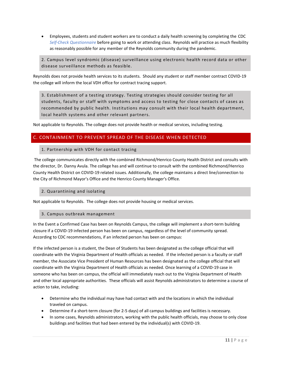• Employees, students and student workers are to conduct a daily health screening by completing the [CDC](https://www.cdc.gov/coronavirus/2019-ncov/symptoms-testing/symptoms.html)  *[Self-Check Questionnaire](https://www.cdc.gov/coronavirus/2019-ncov/symptoms-testing/symptoms.html)* before going to work or attending class. Reynolds will practice as much flexibility as reasonably possible for any member of the Reynolds community during the pandemic.

<span id="page-11-0"></span>2. Campus level syndromic (disease) surveillance using electronic health record data or other disease surveillance methods as feasible.

Reynolds does not provide health services to its students. Should any student or staff member contract COVID-19 the college will inform the local VDH office for contract tracing support.

<span id="page-11-1"></span>3. Establishment of a testing strategy. Testing strategies should consider testing for all students, faculty or staff with symptoms and access to testing for close contacts of cases as recommended by public health. Institutions may consult with their local health department, local health systems and other relevant partners.

Not applicable to Reynolds. The college does not provide health or medical services, including testing.

# <span id="page-11-3"></span><span id="page-11-2"></span>C. CONTAINMENT TO PREVENT SPREAD OF THE DISEASE WHEN DETECTED

# 1. Partnership with VDH for contact tracing

The college communicates directly with the combined Richmond/Henrico County Health District and consults with the director, Dr. Danny Avula. The college has and will continue to consult with the combined Richmond/Henrico County Health District on COVID-19 related issues. Additionally, the college maintains a direct line/connection to the City of Richmond Mayor's Office and the Henrico County Manager's Office.

# <span id="page-11-4"></span>2. Quarantining and isolating

Not applicable to Reynolds. The college does not provide housing or medical services.

# <span id="page-11-5"></span>3. Campus outbreak management

In the Event a Confirmed Case has been on Reynolds Campus, the college will implement a short-term building closure if a COVID-19 infected person has been on campus, regardless of the level of community spread. According to CDC recommendations, if an infected person has been on campus:

If the infected person is a student, the Dean of Students has been designated as the college official that will coordinate with the Virginia Department of Health officials as needed. If the infected person is a faculty or staff member, the Associate Vice President of Human Resources has been designated as the college official that will coordinate with the Virginia Department of Health officials as needed. Once learning of a COVID-19 case in someone who has been on campus, the official will immediately reach out to the Virginia Department of Health and other local appropriate authorities. These officials will assist Reynolds administrators to determine a course of action to take, including:

- Determine who the individual may have had contact with and the locations in which the individual traveled on campus.
- Determine if a short-term closure (for 2-5 days) of all campus buildings and facilities is necessary.
- In some cases, Reynolds administrators, working with the public health officials, may choose to only close buildings and facilities that had been entered by the individual(s) with COVID-19.